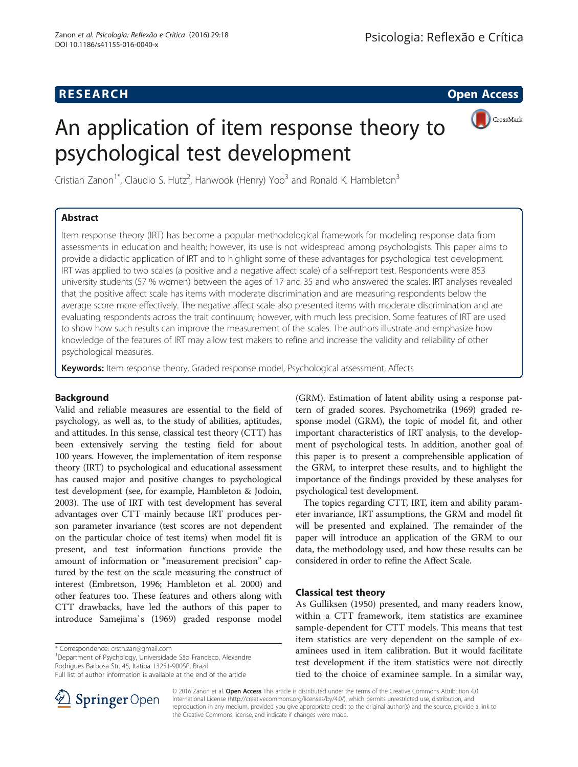## **RESEARCH CHE Open Access**

# An application of item response theory to psychological test development



Cristian Zanon<sup>1\*</sup>, Claudio S. Hutz<sup>2</sup>, Hanwook (Henry) Yoo<sup>3</sup> and Ronald K. Hambleton<sup>3</sup>

## Abstract

Item response theory (IRT) has become a popular methodological framework for modeling response data from assessments in education and health; however, its use is not widespread among psychologists. This paper aims to provide a didactic application of IRT and to highlight some of these advantages for psychological test development. IRT was applied to two scales (a positive and a negative affect scale) of a self-report test. Respondents were 853 university students (57 % women) between the ages of 17 and 35 and who answered the scales. IRT analyses revealed that the positive affect scale has items with moderate discrimination and are measuring respondents below the average score more effectively. The negative affect scale also presented items with moderate discrimination and are evaluating respondents across the trait continuum; however, with much less precision. Some features of IRT are used to show how such results can improve the measurement of the scales. The authors illustrate and emphasize how knowledge of the features of IRT may allow test makers to refine and increase the validity and reliability of other psychological measures.

Keywords: Item response theory, Graded response model, Psychological assessment, Affects

## Background

Valid and reliable measures are essential to the field of psychology, as well as, to the study of abilities, aptitudes, and attitudes. In this sense, classical test theory (CTT) has been extensively serving the testing field for about 100 years. However, the implementation of item response theory (IRT) to psychological and educational assessment has caused major and positive changes to psychological test development (see, for example, Hambleton & Jodoin, [2003\)](#page-8-0). The use of IRT with test development has several advantages over CTT mainly because IRT produces person parameter invariance (test scores are not dependent on the particular choice of test items) when model fit is present, and test information functions provide the amount of information or "measurement precision" captured by the test on the scale measuring the construct of interest (Embretson, [1996;](#page-8-0) Hambleton et al. [2000\)](#page-8-0) and other features too. These features and others along with CTT drawbacks, have led the authors of this paper to introduce Samejima`s [\(1969](#page-9-0)) graded response model

\* Correspondence: [crstn.zan@gmail.com](mailto:crstn.zan@gmail.com) <sup>1</sup>

Department of Psychology, Universidade São Francisco, Alexandre Rodrigues Barbosa Str. 45, Itatiba 13251-900SP, Brazil

Full list of author information is available at the end of the article



(GRM). Estimation of latent ability using a response pattern of graded scores. Psychometrika [\(1969](#page-9-0)) graded response model (GRM), the topic of model fit, and other important characteristics of IRT analysis, to the development of psychological tests. In addition, another goal of this paper is to present a comprehensible application of the GRM, to interpret these results, and to highlight the importance of the findings provided by these analyses for psychological test development.

The topics regarding CTT, IRT, item and ability parameter invariance, IRT assumptions, the GRM and model fit will be presented and explained. The remainder of the paper will introduce an application of the GRM to our data, the methodology used, and how these results can be considered in order to refine the Affect Scale.

## Classical test theory

As Gulliksen ([1950](#page-8-0)) presented, and many readers know, within a CTT framework, item statistics are examinee sample-dependent for CTT models. This means that test item statistics are very dependent on the sample of examinees used in item calibration. But it would facilitate test development if the item statistics were not directly tied to the choice of examinee sample. In a similar way,

© 2016 Zanon et al. Open Access This article is distributed under the terms of the Creative Commons Attribution 4.0 International License ([http://creativecommons.org/licenses/by/4.0/\)](http://creativecommons.org/licenses/by/4.0/), which permits unrestricted use, distribution, and reproduction in any medium, provided you give appropriate credit to the original author(s) and the source, provide a link to the Creative Commons license, and indicate if changes were made.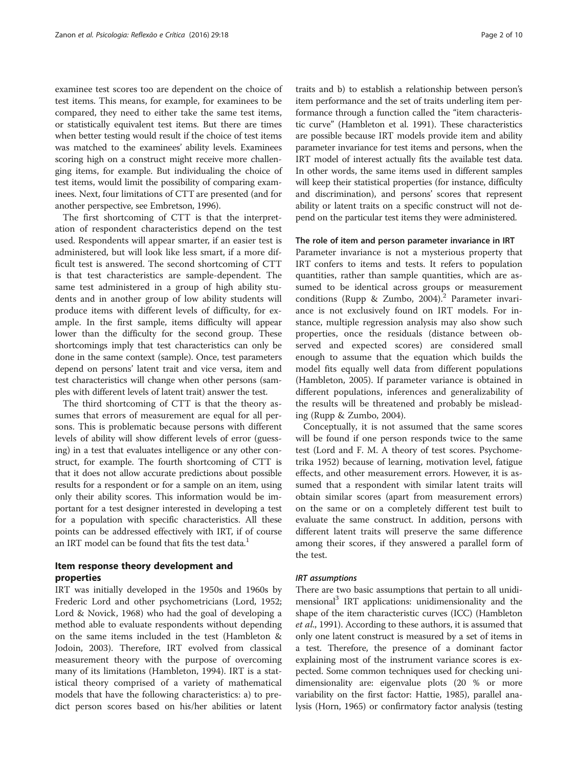examinee test scores too are dependent on the choice of test items. This means, for example, for examinees to be compared, they need to either take the same test items, or statistically equivalent test items. But there are times when better testing would result if the choice of test items was matched to the examinees' ability levels. Examinees scoring high on a construct might receive more challenging items, for example. But individualing the choice of test items, would limit the possibility of comparing examinees. Next, four limitations of CTT are presented (and for another perspective, see Embretson, [1996](#page-8-0)).

The first shortcoming of CTT is that the interpretation of respondent characteristics depend on the test used. Respondents will appear smarter, if an easier test is administered, but will look like less smart, if a more difficult test is answered. The second shortcoming of CTT is that test characteristics are sample-dependent. The same test administered in a group of high ability students and in another group of low ability students will produce items with different levels of difficulty, for example. In the first sample, items difficulty will appear lower than the difficulty for the second group. These shortcomings imply that test characteristics can only be done in the same context (sample). Once, test parameters depend on persons' latent trait and vice versa, item and test characteristics will change when other persons (samples with different levels of latent trait) answer the test.

The third shortcoming of CTT is that the theory assumes that errors of measurement are equal for all persons. This is problematic because persons with different levels of ability will show different levels of error (guessing) in a test that evaluates intelligence or any other construct, for example. The fourth shortcoming of CTT is that it does not allow accurate predictions about possible results for a respondent or for a sample on an item, using only their ability scores. This information would be important for a test designer interested in developing a test for a population with specific characteristics. All these points can be addressed effectively with IRT, if of course an IRT model can be found that fits the test data.<sup>1</sup>

## Item response theory development and properties

IRT was initially developed in the 1950s and 1960s by Frederic Lord and other psychometricians (Lord, [1952](#page-9-0); Lord & Novick, [1968\)](#page-9-0) who had the goal of developing a method able to evaluate respondents without depending on the same items included in the test (Hambleton & Jodoin, [2003](#page-8-0)). Therefore, IRT evolved from classical measurement theory with the purpose of overcoming many of its limitations (Hambleton, [1994\)](#page-8-0). IRT is a statistical theory comprised of a variety of mathematical models that have the following characteristics: a) to predict person scores based on his/her abilities or latent

traits and b) to establish a relationship between person's item performance and the set of traits underling item performance through a function called the "item characteristic curve" (Hambleton et al. [1991](#page-8-0)). These characteristics are possible because IRT models provide item and ability parameter invariance for test items and persons, when the IRT model of interest actually fits the available test data. In other words, the same items used in different samples will keep their statistical properties (for instance, difficulty and discrimination), and persons' scores that represent ability or latent traits on a specific construct will not depend on the particular test items they were administered.

## The role of item and person parameter invariance in IRT

Parameter invariance is not a mysterious property that IRT confers to items and tests. It refers to population quantities, rather than sample quantities, which are assumed to be identical across groups or measurement conditions (Rupp & Zumbo, [2004](#page-9-0)).<sup>2</sup> Parameter invariance is not exclusively found on IRT models. For instance, multiple regression analysis may also show such properties, once the residuals (distance between observed and expected scores) are considered small enough to assume that the equation which builds the model fits equally well data from different populations (Hambleton, [2005](#page-8-0)). If parameter variance is obtained in different populations, inferences and generalizability of the results will be threatened and probably be misleading (Rupp & Zumbo, [2004\)](#page-9-0).

Conceptually, it is not assumed that the same scores will be found if one person responds twice to the same test (Lord and F. M. A theory of test scores. Psychometrika [1952\)](#page-9-0) because of learning, motivation level, fatigue effects, and other measurement errors. However, it is assumed that a respondent with similar latent traits will obtain similar scores (apart from measurement errors) on the same or on a completely different test built to evaluate the same construct. In addition, persons with different latent traits will preserve the same difference among their scores, if they answered a parallel form of the test.

## IRT assumptions

There are two basic assumptions that pertain to all unidimensional<sup>3</sup> IRT applications: unidimensionality and the shape of the item characteristic curves (ICC) (Hambleton et al., [1991](#page-8-0)). According to these authors, it is assumed that only one latent construct is measured by a set of items in a test. Therefore, the presence of a dominant factor explaining most of the instrument variance scores is expected. Some common techniques used for checking unidimensionality are: eigenvalue plots (20 % or more variability on the first factor: Hattie, [1985\)](#page-8-0), parallel analysis (Horn, [1965](#page-8-0)) or confirmatory factor analysis (testing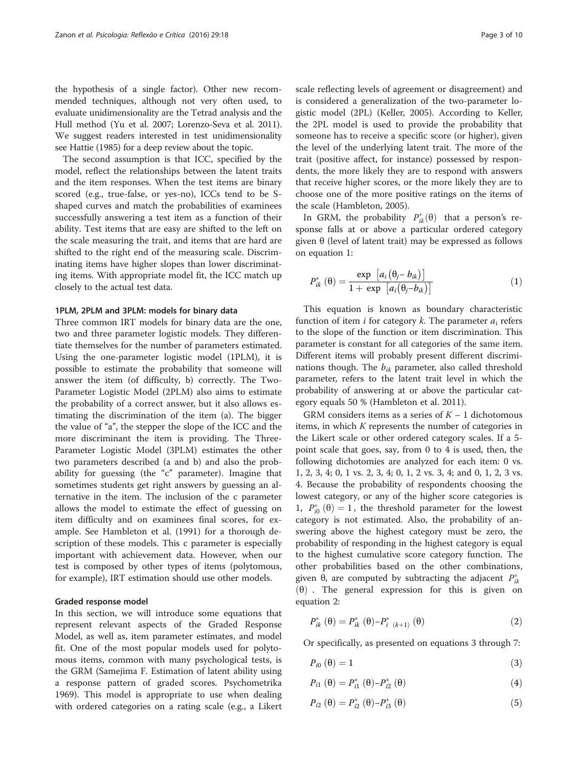the hypothesis of a single factor). Other new recommended techniques, although not very often used, to evaluate unidimensionality are the Tetrad analysis and the Hull method (Yu et al. [2007;](#page-9-0) Lorenzo-Seva et al. [2011](#page-9-0)). We suggest readers interested in test unidimensionality see Hattie [\(1985](#page-8-0)) for a deep review about the topic.

The second assumption is that ICC, specified by the model, reflect the relationships between the latent traits and the item responses. When the test items are binary scored (e.g., true-false, or yes-no), ICCs tend to be Sshaped curves and match the probabilities of examinees successfully answering a test item as a function of their ability. Test items that are easy are shifted to the left on the scale measuring the trait, and items that are hard are shifted to the right end of the measuring scale. Discriminating items have higher slopes than lower discriminating items. With appropriate model fit, the ICC match up closely to the actual test data.

## 1PLM, 2PLM and 3PLM: models for binary data

Three common IRT models for binary data are the one, two and three parameter logistic models. They differentiate themselves for the number of parameters estimated. Using the one-parameter logistic model (1PLM), it is possible to estimate the probability that someone will answer the item (of difficulty, b) correctly. The Two-Parameter Logistic Model (2PLM) also aims to estimate the probability of a correct answer, but it also allows estimating the discrimination of the item (a). The bigger the value of "a", the stepper the slope of the ICC and the more discriminant the item is providing. The Three-Parameter Logistic Model (3PLM) estimates the other two parameters described (a and b) and also the probability for guessing (the "c" parameter). Imagine that sometimes students get right answers by guessing an alternative in the item. The inclusion of the c parameter allows the model to estimate the effect of guessing on item difficulty and on examinees final scores, for example. See Hambleton et al. [\(1991\)](#page-8-0) for a thorough description of these models. This c parameter is especially important with achievement data. However, when our test is composed by other types of items (polytomous, for example), IRT estimation should use other models.

## Graded response model

In this section, we will introduce some equations that represent relevant aspects of the Graded Response Model, as well as, item parameter estimates, and model fit. One of the most popular models used for polytomous items, common with many psychological tests, is the GRM (Samejima F. Estimation of latent ability using a response pattern of graded scores. Psychometrika [1969](#page-9-0)). This model is appropriate to use when dealing with ordered categories on a rating scale (e.g., a Likert scale reflecting levels of agreement or disagreement) and is considered a generalization of the two-parameter logistic model (2PL) (Keller, [2005](#page-9-0)). According to Keller, the 2PL model is used to provide the probability that someone has to receive a specific score (or higher), given the level of the underlying latent trait. The more of the trait (positive affect, for instance) possessed by respondents, the more likely they are to respond with answers that receive higher scores, or the more likely they are to choose one of the more positive ratings on the items of the scale (Hambleton, [2005\)](#page-8-0).

In GRM, the probability  $P_{ik}^*(\theta)$  that a person's response falls at or above a particular ordered category given θ (level of latent trait) may be expressed as follows on equation 1:

$$
P_{ik}^* \left( \theta \right) = \frac{\exp \left[ a_i \left( \theta_j - b_{ik} \right) \right]}{1 + \exp \left[ a_i \left( \theta_j - b_{ik} \right) \right]}
$$
(1)

This equation is known as boundary characteristic function of item *i* for category *k*. The parameter  $a_i$  refers to the slope of the function or item discrimination. This parameter is constant for all categories of the same item. Different items will probably present different discriminations though. The  $b_{ik}$  parameter, also called threshold parameter, refers to the latent trait level in which the probability of answering at or above the particular category equals 50 % (Hambleton et al. [2011](#page-8-0)).

GRM considers items as a series of  $K - 1$  dichotomous items, in which  $K$  represents the number of categories in the Likert scale or other ordered category scales. If a 5 point scale that goes, say, from 0 to 4 is used, then, the following dichotomies are analyzed for each item: 0 vs. 1, 2, 3, 4; 0, 1 vs. 2, 3, 4; 0, 1, 2 vs. 3, 4; and 0, 1, 2, 3 vs. 4. Because the probability of respondents choosing the lowest category, or any of the higher score categories is 1,  $P_{i0}^*(\theta) = 1$ , the threshold parameter for the lowest<br>category is not estimated. Also, the probability of an category is not estimated. Also, the probability of answering above the highest category must be zero, the probability of responding in the highest category is equal to the highest cumulative score category function. The other probabilities based on the other combinations, given θ, are computed by subtracting the adjacent  $P_{ik}^*$  $(\theta)$  . The general expression for this is given on equation 2:

$$
P_{ik}^{*}(\theta) = P_{ik}^{*}(\theta) - P_{i(k+1)}^{*}(\theta)
$$
 (2)

Or specifically, as presented on equations 3 through [7](#page-3-0):

$$
P_{i0}(\theta) = 1 \tag{3}
$$

$$
P_{i1}(\theta) = P_{i1}^*(\theta) - P_{i2}^*(\theta)
$$
\n(4)

$$
P_{i2}(\theta) = P_{i2}^*(\theta) - P_{i3}^*(\theta)
$$
 (5)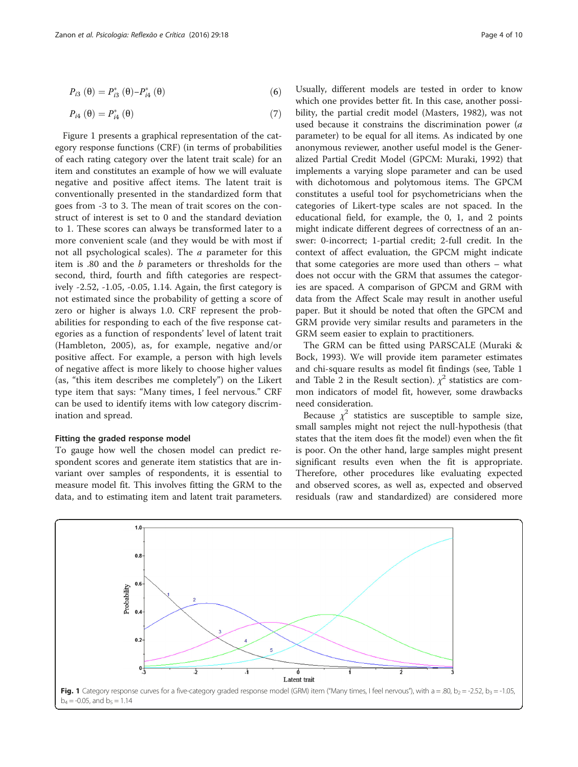<span id="page-3-0"></span>
$$
P_{i3}(\theta) = P_{i3}^*(\theta) - P_{i4}^*(\theta)
$$
 (6)

$$
P_{i4}(\theta) = P_{i4}^*(\theta) \tag{7}
$$

Figure 1 presents a graphical representation of the category response functions (CRF) (in terms of probabilities of each rating category over the latent trait scale) for an item and constitutes an example of how we will evaluate negative and positive affect items. The latent trait is conventionally presented in the standardized form that goes from -3 to 3. The mean of trait scores on the construct of interest is set to 0 and the standard deviation to 1. These scores can always be transformed later to a more convenient scale (and they would be with most if not all psychological scales). The a parameter for this item is .80 and the b parameters or thresholds for the second, third, fourth and fifth categories are respectively -2.52, -1.05, -0.05, 1.14. Again, the first category is not estimated since the probability of getting a score of zero or higher is always 1.0. CRF represent the probabilities for responding to each of the five response categories as a function of respondents' level of latent trait (Hambleton, [2005\)](#page-8-0), as, for example, negative and/or positive affect. For example, a person with high levels of negative affect is more likely to choose higher values (as, "this item describes me completely") on the Likert type item that says: "Many times, I feel nervous." CRF can be used to identify items with low category discrimination and spread.

## Fitting the graded response model

To gauge how well the chosen model can predict respondent scores and generate item statistics that are invariant over samples of respondents, it is essential to measure model fit. This involves fitting the GRM to the data, and to estimating item and latent trait parameters. Usually, different models are tested in order to know which one provides better fit. In this case, another possibility, the partial credit model (Masters, [1982](#page-9-0)), was not used because it constrains the discrimination power (a parameter) to be equal for all items. As indicated by one anonymous reviewer, another useful model is the Generalized Partial Credit Model (GPCM: Muraki, [1992](#page-9-0)) that implements a varying slope parameter and can be used with dichotomous and polytomous items. The GPCM constitutes a useful tool for psychometricians when the categories of Likert-type scales are not spaced. In the educational field, for example, the 0, 1, and 2 points might indicate different degrees of correctness of an answer: 0-incorrect; 1-partial credit; 2-full credit. In the context of affect evaluation, the GPCM might indicate that some categories are more used than others – what does not occur with the GRM that assumes the categories are spaced. A comparison of GPCM and GRM with data from the Affect Scale may result in another useful paper. But it should be noted that often the GPCM and GRM provide very similar results and parameters in the GRM seem easier to explain to practitioners.

The GRM can be fitted using PARSCALE (Muraki & Bock, [1993](#page-9-0)). We will provide item parameter estimates and chi-square results as model fit findings (see, Table [1](#page-4-0) and Table [2](#page-4-0) in the Result section).  $\chi^2$  statistics are common indicators of model fit, however, some drawbacks need consideration.

Because  $\chi^2$  statistics are susceptible to sample size, small samples might not reject the null-hypothesis (that states that the item does fit the model) even when the fit is poor. On the other hand, large samples might present significant results even when the fit is appropriate. Therefore, other procedures like evaluating expected and observed scores, as well as, expected and observed residuals (raw and standardized) are considered more

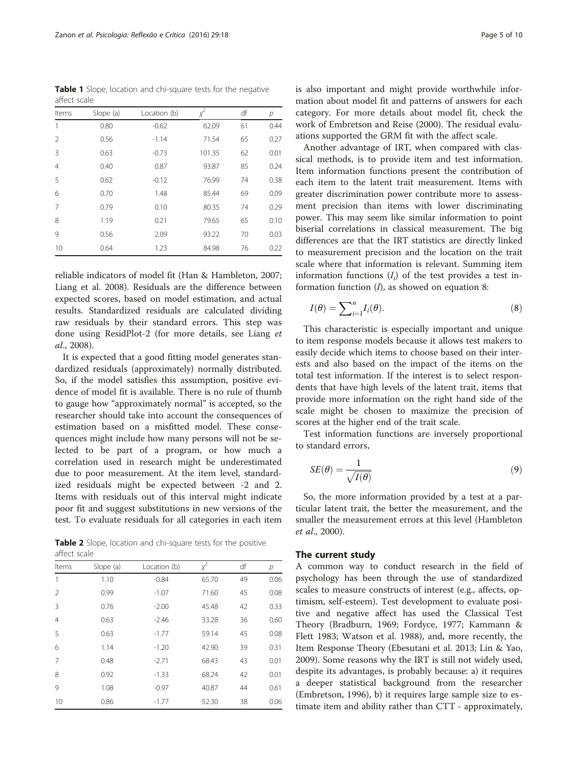reliable indicators of model fit (Han & Hambleton, [2007](#page-8-0); Liang et al. [2008\)](#page-9-0). Residuals are the difference between expected scores, based on model estimation, and actual results. Standardized residuals are calculated dividing raw residuals by their standard errors. This step was done using ResidPlot-2 (for more details, see Liang et al., [2008\)](#page-9-0).

It is expected that a good fitting model generates standardized residuals (approximately) normally distributed. So, if the model satisfies this assumption, positive evidence of model fit is available. There is no rule of thumb to gauge how "approximately normal" is accepted, so the researcher should take into account the consequences of estimation based on a misfitted model. These consequences might include how many persons will not be selected to be part of a program, or how much a correlation used in research might be underestimated due to poor measurement. At the item level, standardized residuals might be expected between -2 and 2. Items with residuals out of this interval might indicate poor fit and suggest substitutions in new versions of the test. To evaluate residuals for all categories in each item

Table 2 Slope, location and chi-square tests for the positive affect scale

| Items          | Slope (a) | Location (b) | х <sup>2</sup> | df | р    |
|----------------|-----------|--------------|----------------|----|------|
| 1              | 1.10      | $-0.84$      | 65.70          | 49 | 0.06 |
| 2              | 0.99      | $-1.07$      | 71.60          | 45 | 0.08 |
| 3              | 0.76      | $-2.00$      | 45.48          | 42 | 0.33 |
| $\overline{4}$ | 0.63      | $-2.46$      | 33.28          | 36 | 0.60 |
| 5              | 0.63      | $-1.77$      | 59.14          | 45 | 0.08 |
| 6              | 1.14      | $-1.20$      | 42.90          | 39 | 0.31 |
| 7              | 0.48      | $-2.71$      | 68.43          | 43 | 0.01 |
| 8              | 0.92      | $-1.33$      | 68.24          | 42 | 0.01 |
| 9              | 1.08      | $-0.97$      | 40.87          | 44 | 0.61 |
| 10             | 0.86      | $-1.77$      | 52.30          | 38 | 0.06 |

is also important and might provide worthwhile information about model fit and patterns of answers for each category. For more details about model fit, check the work of Embretson and Reise ([2000\)](#page-8-0). The residual evaluations supported the GRM fit with the affect scale.

Another advantage of IRT, when compared with classical methods, is to provide item and test information. Item information functions present the contribution of each item to the latent trait measurement. Items with greater discrimination power contribute more to assessment precision than items with lower discriminating power. This may seem like similar information to point biserial correlations in classical measurement. The big differences are that the IRT statistics are directly linked to measurement precision and the location on the trait scale where that information is relevant. Summing item information functions  $(I_i)$  of the test provides a test information function  $(I)$ , as showed on equation 8:

$$
I(\theta) = \sum_{i=1}^{n} I_i(\theta). \tag{8}
$$

This characteristic is especially important and unique to item response models because it allows test makers to easily decide which items to choose based on their interests and also based on the impact of the items on the total test information. If the interest is to select respondents that have high levels of the latent trait, items that provide more information on the right hand side of the scale might be chosen to maximize the precision of scores at the higher end of the trait scale.

Test information functions are inversely proportional to standard errors,

$$
SE(\theta) = \frac{1}{\sqrt{I(\theta)}}\tag{9}
$$

So, the more information provided by a test at a particular latent trait, the better the measurement, and the smaller the measurement errors at this level (Hambleton et al., [2000\)](#page-8-0).

## The current study

A common way to conduct research in the field of psychology has been through the use of standardized scales to measure constructs of interest (e.g., affects, optimism, self-esteem). Test development to evaluate positive and negative affect has used the Classical Test Theory (Bradburn, [1969;](#page-8-0) Fordyce, [1977;](#page-8-0) Kammann & Flett [1983;](#page-9-0) Watson et al. [1988](#page-9-0)), and, more recently, the Item Response Theory (Ebesutani et al. [2013](#page-8-0); Lin & Yao, [2009](#page-9-0)). Some reasons why the IRT is still not widely used, despite its advantages, is probably because: a) it requires a deeper statistical background from the researcher (Embretson, [1996](#page-8-0)), b) it requires large sample size to estimate item and ability rather than CTT - approximately,

Items Slope (a) Location (b)

affect scale

<span id="page-4-0"></span>Table 1 Slope, location and chi-square tests for the negative

1 0.80 -0.62 62.09 61 0.44 2 0.56 -1.14 71.54 65 0.27 3 0.63 -0.73 101.35 62 0.01 4 0.40 0.87 93.87 85 0.24 5 0.62 -0.12 76.99 74 0.38 6 0.70 1.48 85.44 69 0.09 7 0.79 0.10 80.35 74 0.29 8 1.19 0.21 79.65 65 0.10 9 0.56 2.09 93.22 70 0.03 10 0.64 1.23 84.98 76 0.22

2 df  $p$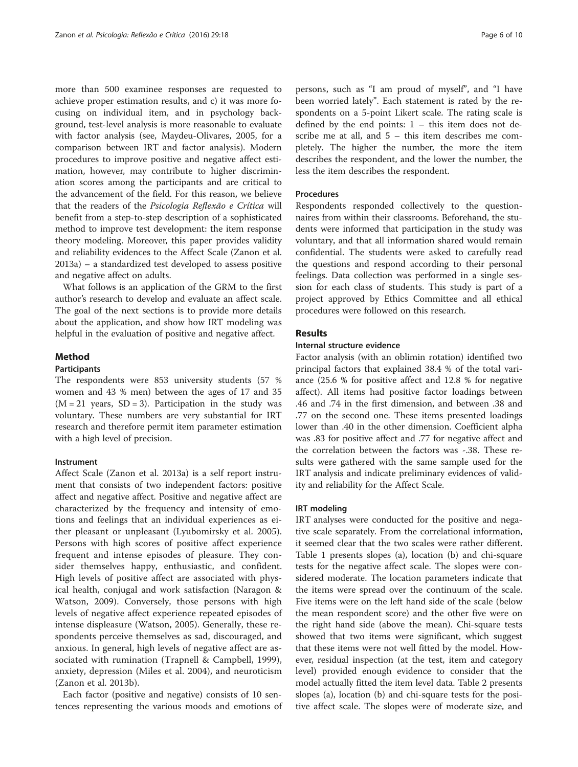more than 500 examinee responses are requested to achieve proper estimation results, and c) it was more focusing on individual item, and in psychology background, test-level analysis is more reasonable to evaluate with factor analysis (see, Maydeu-Olivares, [2005,](#page-9-0) for a comparison between IRT and factor analysis). Modern procedures to improve positive and negative affect estimation, however, may contribute to higher discrimination scores among the participants and are critical to the advancement of the field. For this reason, we believe that the readers of the Psicologia Reflexão e Crítica will benefit from a step-to-step description of a sophisticated method to improve test development: the item response theory modeling. Moreover, this paper provides validity and reliability evidences to the Affect Scale (Zanon et al. [2013a\)](#page-9-0) – a standardized test developed to assess positive and negative affect on adults.

What follows is an application of the GRM to the first author's research to develop and evaluate an affect scale. The goal of the next sections is to provide more details about the application, and show how IRT modeling was helpful in the evaluation of positive and negative affect.

## Method

## Participants

The respondents were 853 university students (57 % women and 43 % men) between the ages of 17 and 35  $(M = 21$  years, SD = 3). Participation in the study was voluntary. These numbers are very substantial for IRT research and therefore permit item parameter estimation with a high level of precision.

## Instrument

Affect Scale (Zanon et al. [2013a\)](#page-9-0) is a self report instrument that consists of two independent factors: positive affect and negative affect. Positive and negative affect are characterized by the frequency and intensity of emotions and feelings that an individual experiences as either pleasant or unpleasant (Lyubomirsky et al. [2005](#page-9-0)). Persons with high scores of positive affect experience frequent and intense episodes of pleasure. They consider themselves happy, enthusiastic, and confident. High levels of positive affect are associated with physical health, conjugal and work satisfaction (Naragon & Watson, [2009](#page-9-0)). Conversely, those persons with high levels of negative affect experience repeated episodes of intense displeasure (Watson, [2005](#page-9-0)). Generally, these respondents perceive themselves as sad, discouraged, and anxious. In general, high levels of negative affect are associated with rumination (Trapnell & Campbell, [1999](#page-9-0)), anxiety, depression (Miles et al. [2004](#page-9-0)), and neuroticism (Zanon et al. [2013b](#page-9-0)).

Each factor (positive and negative) consists of 10 sentences representing the various moods and emotions of

persons, such as "I am proud of myself", and "I have been worried lately". Each statement is rated by the respondents on a 5-point Likert scale. The rating scale is defined by the end points:  $1 -$  this item does not describe me at all, and 5 – this item describes me completely. The higher the number, the more the item describes the respondent, and the lower the number, the less the item describes the respondent.

## Procedures

Respondents responded collectively to the questionnaires from within their classrooms. Beforehand, the students were informed that participation in the study was voluntary, and that all information shared would remain confidential. The students were asked to carefully read the questions and respond according to their personal feelings. Data collection was performed in a single session for each class of students. This study is part of a project approved by Ethics Committee and all ethical procedures were followed on this research.

## **Results**

## Internal structure evidence

Factor analysis (with an oblimin rotation) identified two principal factors that explained 38.4 % of the total variance (25.6 % for positive affect and 12.8 % for negative affect). All items had positive factor loadings between .46 and .74 in the first dimension, and between .38 and .77 on the second one. These items presented loadings lower than .40 in the other dimension. Coefficient alpha was .83 for positive affect and .77 for negative affect and the correlation between the factors was -.38. These results were gathered with the same sample used for the IRT analysis and indicate preliminary evidences of validity and reliability for the Affect Scale.

## IRT modeling

IRT analyses were conducted for the positive and negative scale separately. From the correlational information, it seemed clear that the two scales were rather different. Table [1](#page-4-0) presents slopes (a), location (b) and chi-square tests for the negative affect scale. The slopes were considered moderate. The location parameters indicate that the items were spread over the continuum of the scale. Five items were on the left hand side of the scale (below the mean respondent score) and the other five were on the right hand side (above the mean). Chi-square tests showed that two items were significant, which suggest that these items were not well fitted by the model. However, residual inspection (at the test, item and category level) provided enough evidence to consider that the model actually fitted the item level data. Table [2](#page-4-0) presents slopes (a), location (b) and chi-square tests for the positive affect scale. The slopes were of moderate size, and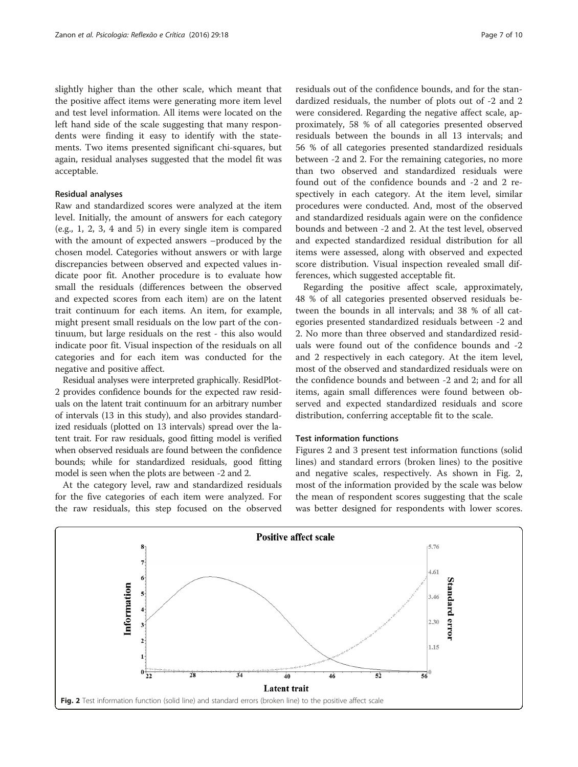<span id="page-6-0"></span>slightly higher than the other scale, which meant that the positive affect items were generating more item level and test level information. All items were located on the left hand side of the scale suggesting that many respondents were finding it easy to identify with the statements. Two items presented significant chi-squares, but again, residual analyses suggested that the model fit was acceptable.

## Residual analyses

Raw and standardized scores were analyzed at the item level. Initially, the amount of answers for each category (e.g., 1, 2, 3, 4 and 5) in every single item is compared with the amount of expected answers –produced by the chosen model. Categories without answers or with large discrepancies between observed and expected values indicate poor fit. Another procedure is to evaluate how small the residuals (differences between the observed and expected scores from each item) are on the latent trait continuum for each items. An item, for example, might present small residuals on the low part of the continuum, but large residuals on the rest - this also would indicate poor fit. Visual inspection of the residuals on all categories and for each item was conducted for the negative and positive affect.

Residual analyses were interpreted graphically. ResidPlot-2 provides confidence bounds for the expected raw residuals on the latent trait continuum for an arbitrary number of intervals (13 in this study), and also provides standardized residuals (plotted on 13 intervals) spread over the latent trait. For raw residuals, good fitting model is verified when observed residuals are found between the confidence bounds; while for standardized residuals, good fitting model is seen when the plots are between -2 and 2.

At the category level, raw and standardized residuals for the five categories of each item were analyzed. For the raw residuals, this step focused on the observed

residuals out of the confidence bounds, and for the standardized residuals, the number of plots out of -2 and 2 were considered. Regarding the negative affect scale, approximately, 58 % of all categories presented observed residuals between the bounds in all 13 intervals; and 56 % of all categories presented standardized residuals between -2 and 2. For the remaining categories, no more than two observed and standardized residuals were found out of the confidence bounds and -2 and 2 respectively in each category. At the item level, similar procedures were conducted. And, most of the observed and standardized residuals again were on the confidence bounds and between -2 and 2. At the test level, observed and expected standardized residual distribution for all items were assessed, along with observed and expected score distribution. Visual inspection revealed small differences, which suggested acceptable fit.

Regarding the positive affect scale, approximately, 48 % of all categories presented observed residuals between the bounds in all intervals; and 38 % of all categories presented standardized residuals between -2 and 2. No more than three observed and standardized residuals were found out of the confidence bounds and -2 and 2 respectively in each category. At the item level, most of the observed and standardized residuals were on the confidence bounds and between -2 and 2; and for all items, again small differences were found between observed and expected standardized residuals and score distribution, conferring acceptable fit to the scale.

## Test information functions

Figures 2 and [3](#page-7-0) present test information functions (solid lines) and standard errors (broken lines) to the positive and negative scales, respectively. As shown in Fig. 2, most of the information provided by the scale was below the mean of respondent scores suggesting that the scale was better designed for respondents with lower scores.

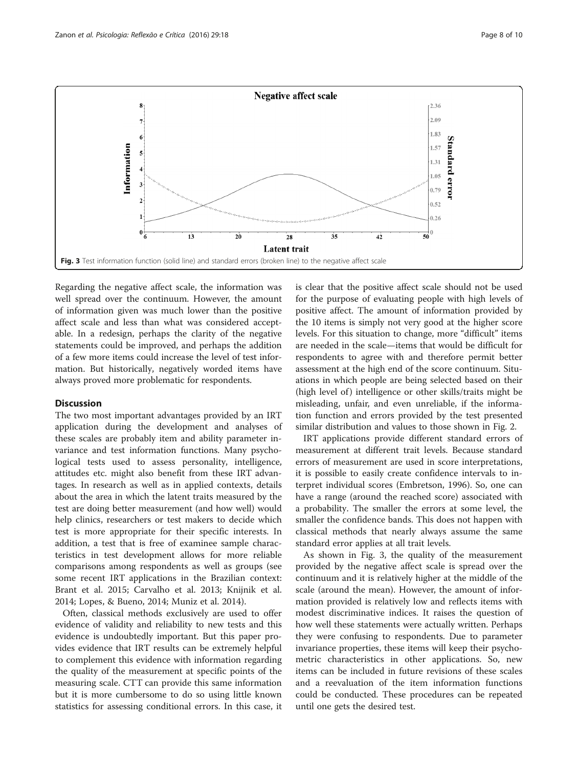<span id="page-7-0"></span>

Regarding the negative affect scale, the information was well spread over the continuum. However, the amount of information given was much lower than the positive affect scale and less than what was considered acceptable. In a redesign, perhaps the clarity of the negative statements could be improved, and perhaps the addition of a few more items could increase the level of test information. But historically, negatively worded items have always proved more problematic for respondents.

#### **Discussion**

The two most important advantages provided by an IRT application during the development and analyses of these scales are probably item and ability parameter invariance and test information functions. Many psychological tests used to assess personality, intelligence, attitudes etc. might also benefit from these IRT advantages. In research as well as in applied contexts, details about the area in which the latent traits measured by the test are doing better measurement (and how well) would help clinics, researchers or test makers to decide which test is more appropriate for their specific interests. In addition, a test that is free of examinee sample characteristics in test development allows for more reliable comparisons among respondents as well as groups (see some recent IRT applications in the Brazilian context: Brant et al. [2015;](#page-8-0) Carvalho et al. [2013;](#page-8-0) Knijnik et al. [2014](#page-9-0); Lopes, & Bueno, [2014;](#page-9-0) Muniz et al. [2014\)](#page-9-0).

Often, classical methods exclusively are used to offer evidence of validity and reliability to new tests and this evidence is undoubtedly important. But this paper provides evidence that IRT results can be extremely helpful to complement this evidence with information regarding the quality of the measurement at specific points of the measuring scale. CTT can provide this same information but it is more cumbersome to do so using little known statistics for assessing conditional errors. In this case, it is clear that the positive affect scale should not be used for the purpose of evaluating people with high levels of positive affect. The amount of information provided by the 10 items is simply not very good at the higher score levels. For this situation to change, more "difficult" items are needed in the scale—items that would be difficult for respondents to agree with and therefore permit better assessment at the high end of the score continuum. Situations in which people are being selected based on their (high level of) intelligence or other skills/traits might be misleading, unfair, and even unreliable, if the information function and errors provided by the test presented similar distribution and values to those shown in Fig. [2](#page-6-0).

IRT applications provide different standard errors of measurement at different trait levels. Because standard errors of measurement are used in score interpretations, it is possible to easily create confidence intervals to interpret individual scores (Embretson, [1996](#page-8-0)). So, one can have a range (around the reached score) associated with a probability. The smaller the errors at some level, the smaller the confidence bands. This does not happen with classical methods that nearly always assume the same standard error applies at all trait levels.

As shown in Fig. 3, the quality of the measurement provided by the negative affect scale is spread over the continuum and it is relatively higher at the middle of the scale (around the mean). However, the amount of information provided is relatively low and reflects items with modest discriminative indices. It raises the question of how well these statements were actually written. Perhaps they were confusing to respondents. Due to parameter invariance properties, these items will keep their psychometric characteristics in other applications. So, new items can be included in future revisions of these scales and a reevaluation of the item information functions could be conducted. These procedures can be repeated until one gets the desired test.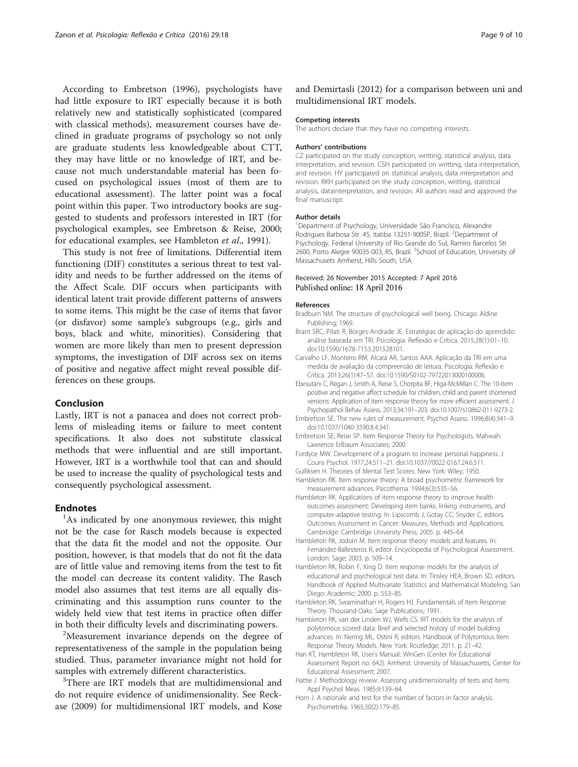<span id="page-8-0"></span>According to Embretson (1996), psychologists have had little exposure to IRT especially because it is both relatively new and statistically sophisticated (compared with classical methods), measurement courses have declined in graduate programs of psychology so not only are graduate students less knowledgeable about CTT, they may have little or no knowledge of IRT, and because not much understandable material has been focused on psychological issues (most of them are to educational assessment). The latter point was a focal point within this paper. Two introductory books are suggested to students and professors interested in IRT (for psychological examples, see Embretson & Reise, 2000; for educational examples, see Hambleton et al., 1991).

This study is not free of limitations. Differential item functioning (DIF) constitutes a serious threat to test validity and needs to be further addressed on the items of the Affect Scale. DIF occurs when participants with identical latent trait provide different patterns of answers to some items. This might be the case of items that favor (or disfavor) some sample's subgroups (e.g., girls and boys, black and white, minorities). Considering that women are more likely than men to present depression symptoms, the investigation of DIF across sex on items of positive and negative affect might reveal possible differences on these groups.

## Conclusion

Lastly, IRT is not a panacea and does not correct problems of misleading items or failure to meet content specifications. It also does not substitute classical methods that were influential and are still important. However, IRT is a worthwhile tool that can and should be used to increase the quality of psychological tests and consequently psychological assessment.

#### **Endnotes**

 ${}^{1}$ As indicated by one anonymous reviewer, this might not be the case for Rasch models because is expected that the data fit the model and not the opposite. Our position, however, is that models that do not fit the data are of little value and removing items from the test to fit the model can decrease its content validity. The Rasch model also assumes that test items are all equally discriminating and this assumption runs counter to the widely held view that test items in practice often differ in both their difficulty levels and discriminating powers. <sup>2</sup>

Measurement invariance depends on the degree of representativeness of the sample in the population being studied. Thus, parameter invariance might not hold for samples with extremely different characteristics.

<sup>3</sup>There are IRT models that are multidimensional and do not require evidence of unidimensionality. See Reckase ([2009](#page-9-0)) for multidimensional IRT models, and Kose

and Demirtasli ([2012](#page-9-0)) for a comparison between uni and multidimensional IRT models.

#### Competing interests

The authors declare that they have no competing interests.

#### Authors' contributions

CZ participated on the study conception, writting, statistical analysis, data interpretation, and revision. CSH participated on writting, data interpretation, and revision. HY participated on statistical analysis, data interpretation and revision. RKH participated on the study conception, writting, statistical analysis, datainterpretation, and revision. All authors read and approved the final manuscript.

#### Author details

<sup>1</sup> Department of Psychology, Universidade São Francisco, Alexandre Rodrigues Barbosa Str. 45, Itatiba 13251-900SP, Brazil. <sup>2</sup>Department of Psychology, Federal University of Rio Grande do Sul, Ramiro Barcelos Str. 2600, Porto Alegre 90035-003, RS, Brazil. <sup>3</sup>School of Education, University of Massachusets Amherst, Hills South, USA.

#### Received: 26 November 2015 Accepted: 7 April 2016 Published online: 18 April 2016

#### References

- Bradburn NM. The structure of psychological well being. Chicago: Aldine Publishing; 1969.
- Brant SRC, Pilati R, Borges-Andrade JE. Estratégias de aplicação do aprendido: análise baseada em TRI. Psicologia: Reflexão e Crítica. 2015;28(1):01–10. doi[:10.1590/1678-7153.201528101](http://dx.doi.org/10.1590/1678-7153.201528101).
- Carvalho LF, Monteiro RM, Alcará AR, Santos AAA. Aplicação da TRI em uma medida de avaliação da compreensão de leitura. Psicologia: Reflexão e Crítica. 2013;26(1):47–57. doi[:10.1590/S0102-79722013000100006.](http://dx.doi.org/10.1590/S0102-79722013000100006)
- Ebesutani C, Regan J, Smith A, Reise S, Chorpita BF, Higa-McMillan C. The 10-item positive and negative affect schedule for children, child and parent shortened versions: Application of item response theory for more efficient assessment. J Psychopathol Behav Assess. 2013;34:191–203. doi[:10.1007/s10862-011-9273-2](http://dx.doi.org/10.1007/s10862-011-9273-2).
- Embretson SE. The new rules of measurement. Psychol Assess. 1996;8(4):341–9. doi[:10.1037/1040-3590.8.4.341](http://dx.doi.org/10.1037/1040-3590.8.4.341).
- Embretson SE, Reise SP. Item Response Theory for Psychologists. Mahwah: Lawrence Erlbaum Associates; 2000.
- Fordyce MW. Development of a program to increase personal happiness. J Couns Psychol. 1977;24:511–21. doi:[10.1037//0022-0167.24.6.511.](http://dx.doi.org/10.1037//0022-0167.24.6.511)
- Gulliksen H. Theories of Mental Test Scores. New York: Wiley; 1950.
- Hambleton RK. Item response theory: A broad psychometric framework for measurement advances. Psicothema. 1994;6(3):535–56.
- Hambleton RK. Applications of item response theory to improve health outcomes assessment: Developing item banks, linking instruments, and computer-adaptive testing. In: Lipscomb J, Gotay CC, Snyder C, editors. Outcomes Assessment in Cancer: Measures, Methods and Applications. Cambridge: Cambridge University Press; 2005. p. 445–64.
- Hambleton RK, Jodoin M. Item response theory: models and features. In: Fernández-Ballesteros R, editor. Encyclopedia of Psychological Assessment. London: Sage; 2003. p. 509–14.
- Hambleton RK, Robin F, Xing D. Item response models for the analysis of educational and psychological test data. In: Tinsley HEA, Brown SD, editors. Handbook of Applied Multivariate Statistics and Mathematical Modeling. San Diego: Academic; 2000. p. 553–85.
- Hambleton RK, Swaminathan H, Rogers HJ. Fundamentals of Item Response Theory. Thousand Oaks: Sage Publications; 1991.
- Hambleton RK, van der Linden WJ, Wells CS. IRT models for the analysis of polytomous scored data: Brief and selected history of model building advances. In: Nering ML, Ostini R, editors. Handbook of Polytomous Item Response Theory Models. New York: Routledge; 2011. p. 21–42.
- Han KT, Hambleton RK. User's Manual: WinGen (Center for Educational Assessment Report no. 642). Amherst: University of Massachusetts, Center for Educational Assessment; 2007.
- Hattie J. Methodology review: Assessing unidimensionality of tests and items. Appl Psychol Meas. 1985;9:139–64.
- Horn J. A rationale and test for the number of factors in factor analysis. Psychometrika. 1965;30(2):179–85.